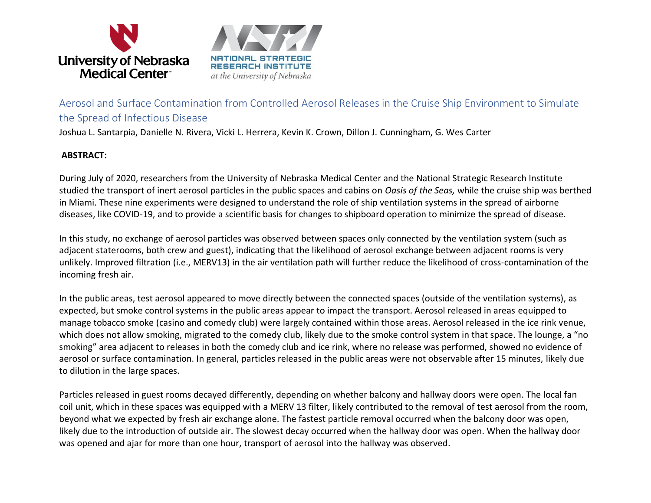

Aerosol and Surface Contamination from Controlled Aerosol Releases in the Cruise Ship Environment to Simulate the Spread of Infectious Disease

Joshua L. Santarpia, Danielle N. Rivera, Vicki L. Herrera, Kevin K. Crown, Dillon J. Cunningham, G. Wes Carter

## **ABSTRACT:**

During July of 2020, researchers from the University of Nebraska Medical Center and the National Strategic Research Institute studied the transport of inert aerosol particles in the public spaces and cabins on *Oasis of the Seas,* while the cruise ship was berthed in Miami. These nine experiments were designed to understand the role of ship ventilation systems in the spread of airborne diseases, like COVID-19, and to provide a scientific basis for changes to shipboard operation to minimize the spread of disease.

In this study, no exchange of aerosol particles was observed between spaces only connected by the ventilation system (such as adjacent staterooms, both crew and guest), indicating that the likelihood of aerosol exchange between adjacent rooms is very unlikely. Improved filtration (i.e., MERV13) in the air ventilation path will further reduce the likelihood of cross-contamination of the incoming fresh air.

In the public areas, test aerosol appeared to move directly between the connected spaces (outside of the ventilation systems), as expected, but smoke control systems in the public areas appear to impact the transport. Aerosol released in areas equipped to manage tobacco smoke (casino and comedy club) were largely contained within those areas. Aerosol released in the ice rink venue, which does not allow smoking, migrated to the comedy club, likely due to the smoke control system in that space. The lounge, a "no smoking" area adjacent to releases in both the comedy club and ice rink, where no release was performed, showed no evidence of aerosol or surface contamination. In general, particles released in the public areas were not observable after 15 minutes, likely due to dilution in the large spaces.

Particles released in guest rooms decayed differently, depending on whether balcony and hallway doors were open. The local fan coil unit, which in these spaces was equipped with a MERV 13 filter, likely contributed to the removal of test aerosol from the room, beyond what we expected by fresh air exchange alone. The fastest particle removal occurred when the balcony door was open, likely due to the introduction of outside air. The slowest decay occurred when the hallway door was open. When the hallway door was opened and ajar for more than one hour, transport of aerosol into the hallway was observed.